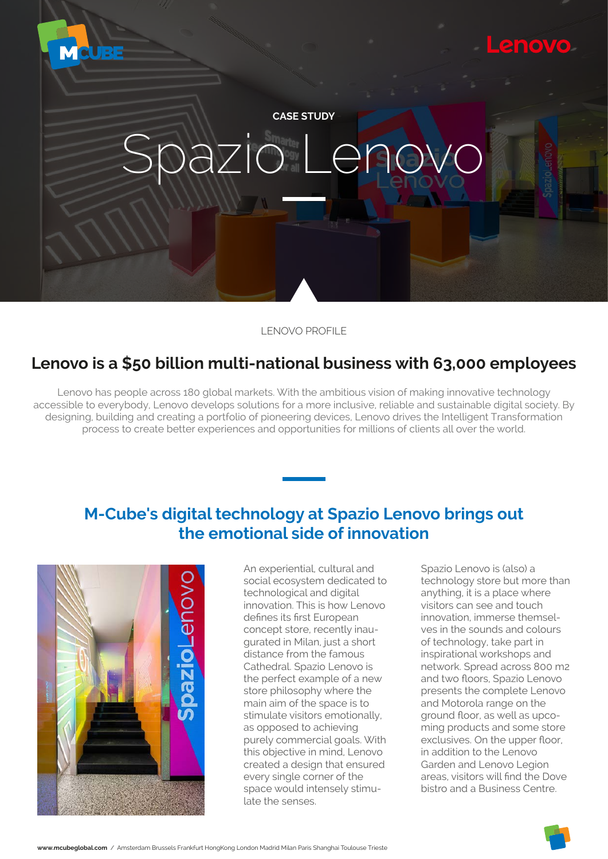

### LENOVO PROFILE

### **Lenovo is a \$50 billion multi-national business with 63,000 employees**

Lenovo has people across 180 global markets. With the ambitious vision of making innovative technology accessible to everybody, Lenovo develops solutions for a more inclusive, reliable and sustainable digital society. By designing, building and creating a portfolio of pioneering devices, Lenovo drives the Intelligent Transformation process to create better experiences and opportunities for millions of clients all over the world.

## **M-Cube's digital technology at Spazio Lenovo brings out the emotional side of innovation**



An experiential, cultural and social ecosystem dedicated to technological and digital innovation. This is how Lenovo defines its first European concept store, recently inaugurated in Milan, just a short distance from the famous Cathedral. Spazio Lenovo is the perfect example of a new store philosophy where the main aim of the space is to stimulate visitors emotionally, as opposed to achieving purely commercial goals. With this objective in mind, Lenovo created a design that ensured every single corner of the space would intensely stimulate the senses.

Spazio Lenovo is (also) a technology store but more than anything, it is a place where visitors can see and touch innovation, immerse themselves in the sounds and colours of technology, take part in inspirational workshops and network. Spread across 800 m2 and two floors, Spazio Lenovo presents the complete Lenovo and Motorola range on the ground floor, as well as upcoming products and some store exclusives. On the upper floor, in addition to the Lenovo Garden and Lenovo Legion areas, visitors will find the Dove bistro and a Business Centre.

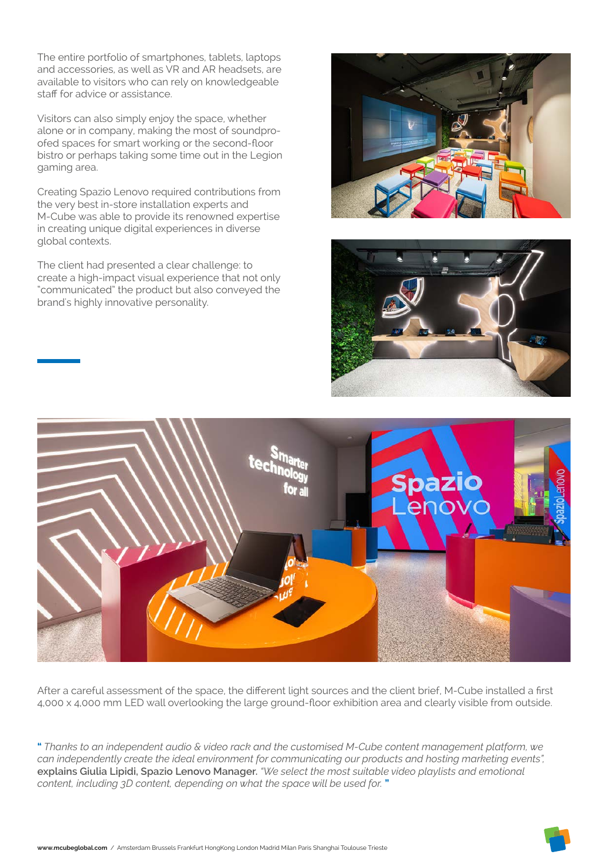The entire portfolio of smartphones, tablets, laptops and accessories, as well as VR and AR headsets, are available to visitors who can rely on knowledgeable **XSSXXX9C** 

Visitors can also simply enjoy the space, whether alone or in company, making the most of soundproxxsx5ss)gsxgs

bistro or perhaps taking some time out in the Legion gaming area.

Creating Spazio Lenovo required contributions from the very best in-store installation experts and M-Cube was able to provide its renowned expertise in creating unique digital experiences in diverse global contexts.

The client had presented a clear challenge: to create a high-impact visual experience that not only "communicated" the product but also conveyed the brand's highly innovative personality.







ess, xxxx59xs9, xsx9, 9sa9x,, sx 55), s, ) 9, ss 9 s 9 s 9, s, x, s 5 x c

" Thanks to an independent audio & video rack and the customised M-Cube content management platform, we can independently create the ideal environment for communicating our products and hosting marketing events", explains Giulia Lupidi, Spazio Lenovo Manager. "We select the most suitable video playlists and emotional content, including 3D content, depending on what the space will be used for."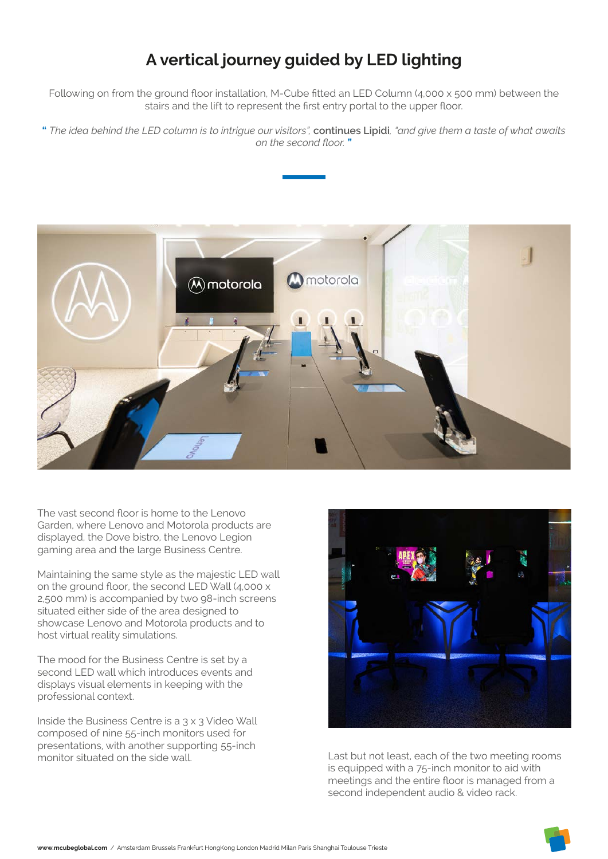# **A vertical journey guided by LED lighting**

Following on from the ground floor installation, M-Cube fitted an LED Column (4,000 x 500 mm) between the stairs and the lift to represent the first entry portal to the upper floor.

**"** *The idea behind the LED column is to intrigue our visitors",* **continues Lupidi***, "and give them a taste of what awaits on the second floor.* **"**



The vast second floor is home to the Lenovo Garden, where Lenovo and Motorola products are displayed, the Dove bistro, the Lenovo Legion gaming area and the large Business Centre.

Maintaining the same style as the majestic LED wall on the ground floor, the second LED Wall (4,000 x 2,500 mm) is accompanied by two 98-inch screens situated either side of the area designed to showcase Lenovo and Motorola products and to host virtual reality simulations.

The mood for the Business Centre is set by a second LED wall which introduces events and displays visual elements in keeping with the professional context.

Inside the Business Centre is a 3 x 3 Video Wall composed of nine 55-inch monitors used for presentations, with another supporting 55-inch



monitor situated on the side wall. The set of the two meeting rooms communities wall. is equipped with a 75-inch monitor to aid with meetings and the entire floor is managed from a second independent audio & video rack.